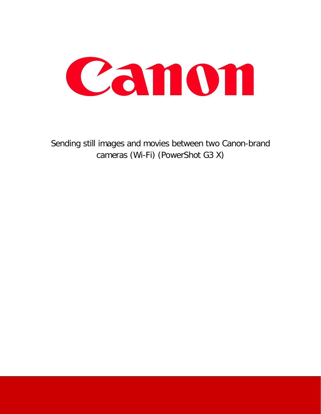

Sending still images and movies between two Canon-brand cameras (Wi-Fi) (PowerShot G3 X)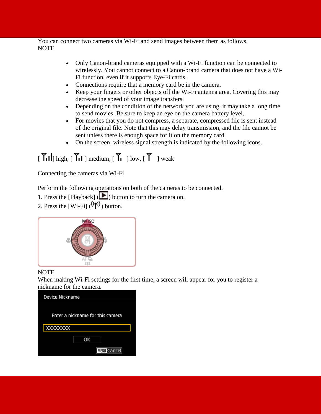You can connect two cameras via Wi-Fi and send images between them as follows. NOTE

- Only Canon-brand cameras equipped with a Wi-Fi function can be connected to wirelessly. You cannot connect to a Canon-brand camera that does not have a Wi-Fi function, even if it supports Eye-Fi cards.
- Connections require that a memory card be in the camera.
- Keep your fingers or other objects off the Wi-Fi antenna area. Covering this may decrease the speed of your image transfers.
- Depending on the condition of the network you are using, it may take a long time to send movies. Be sure to keep an eye on the camera battery level.
- For movies that you do not compress, a separate, compressed file is sent instead of the original file. Note that this may delay transmission, and the file cannot be sent unless there is enough space for it on the memory card.
- On the screen, wireless signal strength is indicated by the following icons.

# $\begin{bmatrix} 7 \ 1 \end{bmatrix}$  high,  $\begin{bmatrix} 7 \ 1 \end{bmatrix}$  medium,  $\begin{bmatrix} 7 \ 1 \end{bmatrix}$  low,  $\begin{bmatrix} 7 \ 1 \end{bmatrix}$  weak

Connecting the cameras via Wi-Fi

Perform the following operations on both of the cameras to be connected.

- 1. Press the [Playback] ( $\Box$ ) button to turn the camera on.
- 2. Press the [Wi-Fi]  $(\langle \uparrow \rangle)$  button.



### NOTE

When making Wi-Fi settings for the first time, a screen will appear for you to register a nickname for the camera.

| Device Nickname                  |  |  |
|----------------------------------|--|--|
|                                  |  |  |
| Enter a nickname for this camera |  |  |
|                                  |  |  |
| XXXXXXXX                         |  |  |
| OK                               |  |  |
| <b>MINU</b> Cancel               |  |  |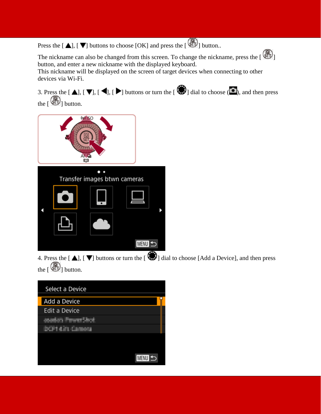Press the  $[\triangle]$ ,  $[\nabla]$  buttons to choose  $[OK]$  and press the  $[\triangle]$  button..

The nickname can also be changed from this screen. To change the nickname, press the  $\begin{bmatrix} \mathbb{C} \\ \mathbb{C} \end{bmatrix}$ button, and enter a new nickname with the displayed keyboard.

This nickname will be displayed on the screen of target devices when connecting to other devices via Wi-Fi.

3. Press the  $[\Box]$ ,  $[\Box]$ ,  $[\Box]$ ,  $[\Box]$  buttons or turn the  $[\Box]$  dial to choose  $[\Box]$ , and then press the  $\begin{bmatrix} \begin{smallmatrix} 0 \\ 0 \end{smallmatrix} \end{bmatrix}$  button.





4. Press the  $[\triangle]$ ,  $[\nabla]$  buttons or turn the  $[\triangle]$  dial to choose [Add a Device], and then press the  $\begin{bmatrix} \bigoplus \end{bmatrix}$  button.

| Select a Device         |
|-------------------------|
| Add a Device            |
| <b>Edit a Device</b>    |
| oadan Finanz Shot       |
| <b>DOP1 4311 Campos</b> |
|                         |
|                         |
| MENU<br>↰               |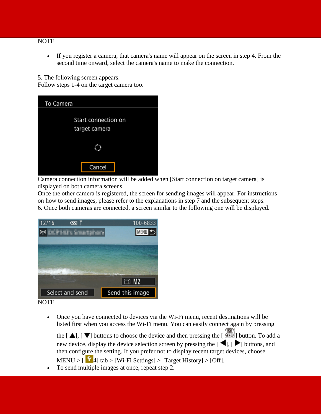#### NOTE

• If you register a camera, that camera's name will appear on the screen in step 4. From the second time onward, select the camera's name to make the connection.

5. The following screen appears.

Follow steps 1-4 on the target camera too.

| To Camera                            |  |  |  |
|--------------------------------------|--|--|--|
| Start connection on<br>target camera |  |  |  |
|                                      |  |  |  |
| Cancel                               |  |  |  |

Camera connection information will be added when [Start connection on target camera] is displayed on both camera screens.

Once the other camera is registered, the screen for sending images will appear. For instructions on how to send images, please refer to the explanations in step 7 and the subsequent steps. 6. Once both cameras are connected, a screen similar to the following one will be displayed.



**NOTE** 

• Once you have connected to devices via the Wi-Fi menu, recent destinations will be listed first when you access the Wi-Fi menu. You can easily connect again by pressing

the  $[\triangle]$ ,  $[\nabla]$  buttons to choose the device and then pressing the  $[\triangle]$  button. To add a new device, display the device selection screen by pressing the  $[\blacktriangleleft]$ ,  $[\blacktriangleright]$  buttons, and then configure the setting. If you prefer not to display recent target devices, choose

MENU >  $\lceil \cdot \cdot \rceil$  4] tab > [Wi-Fi Settings] > [Target History] > [Off].

• To send multiple images at once, repeat step 2.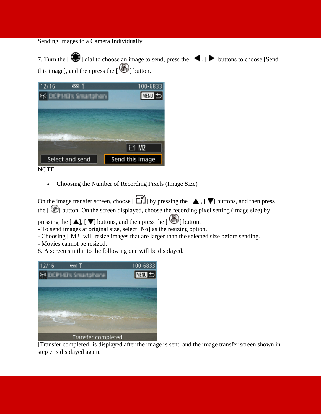### Sending Images to a Camera Individually

7. Turn the  $[\bullet \bullet]$  dial to choose an image to send, press the  $[\bullet]$ ,  $[\bullet]$  buttons to choose [Send] this image], and then press the  $\begin{bmatrix} \bullet \\ \bullet \end{bmatrix}$  button.





• Choosing the Number of Recording Pixels (Image Size)

On the image transfer screen, choose  $[\overline{\bullet}$  by pressing the  $[\triangle]$ ,  $[\blacktriangledown]$  buttons, and then press the [ ] button. On the screen displayed, choose the recording pixel setting (image size) by

pressing the  $[\triangle]$ ,  $[\nabla]$  buttons, and then press the  $[\triangle]$  button.

- To send images at original size, select [No] as the resizing option.

- Choosing [ M2] will resize images that are larger than the selected size before sending.

- Movies cannot be resized.
- 8. A screen similar to the following one will be displayed.



[Transfer completed] is displayed after the image is sent, and the image transfer screen shown in step 7 is displayed again.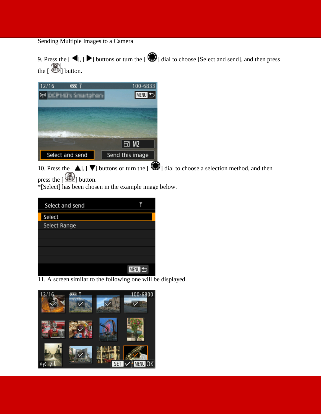## Sending Multiple Images to a Camera

9. Press the  $[\blacktriangleleft]$ ,  $[\blacktriangleright]$  buttons or turn the  $[\clubsuitled{3}]$  dial to choose [Select and send], and then press the  $\begin{bmatrix} \begin{smallmatrix} 0 \\ 0 \end{smallmatrix} \end{bmatrix}$  button.



10. Press the  $[\triangle]$ ,  $[\nabla]$  buttons or turn the  $[\triangle]$  dial to choose a selection method, and then press the  $\begin{bmatrix} \circledR \\ \circledR \end{bmatrix}$  button.

\*[Select] has been chosen in the example image below.

| Select and send |                  |
|-----------------|------------------|
| Select          |                  |
| Select Range    |                  |
|                 |                  |
|                 |                  |
|                 |                  |
|                 |                  |
|                 | <b>MENU</b><br>↰ |

11. A screen similar to the following one will be displayed.

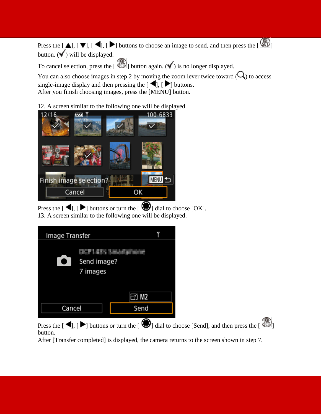Press the  $[\triangle]$ ,  $[\blacktriangleright]$ ,  $[\blacktriangleright]$  buttons to choose an image to send, and then press the  $[\triangle]$ button.  $(\checkmark)$  will be displayed.

To cancel selection, press the  $\begin{bmatrix} \mathbb{C} \\ \mathbb{C} \end{bmatrix}$  button again. ( $\checkmark$ ) is no longer displayed.

You can also choose images in step 2 by moving the zoom lever twice toward  $(Q)$  to access single-image display and then pressing the  $\Box$  [  $\Box$  ] buttons. After you finish choosing images, press the [MENU] button.

## 12. A screen similar to the following one will be displayed.



Press the  $[\blacktriangleleft]$ ,  $[\blacktriangleright]$  buttons or turn the  $[\clubsuitled{3}]$  dial to choose [OK]. 13. A screen similar to the following one will be displayed.

| Image Transfer                     |              |
|------------------------------------|--------------|
| Œ.<br>Send image?<br>D<br>7 images |              |
|                                    | $\boxdot$ M2 |
| Cancel                             | Send         |
|                                    |              |

Press the  $[\blacktriangleleft]$ ,  $[\blacktriangleright]$  buttons or turn the  $[\clubsuit$ ] dial to choose [Send], and then press the  $[\clubsuit$ ] button.

After [Transfer completed] is displayed, the camera returns to the screen shown in step 7.